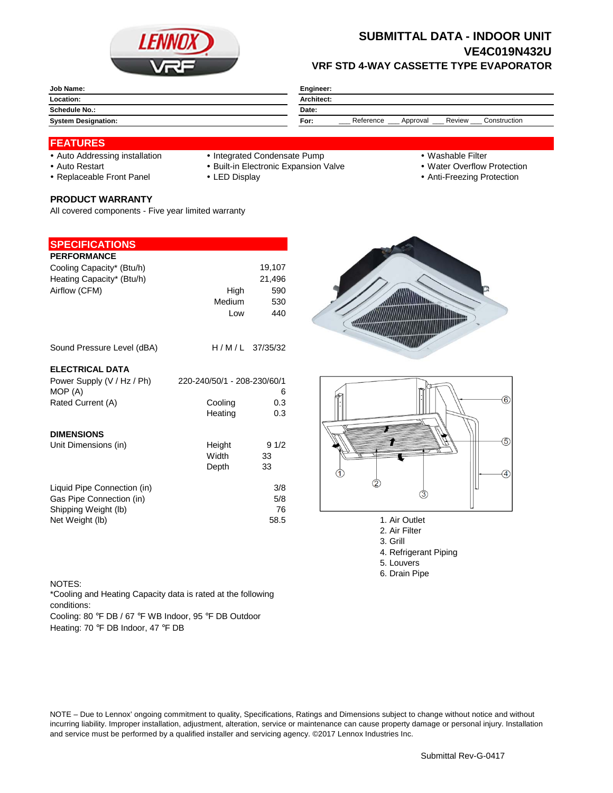

## **SUBMITTAL DATA - INDOOR UNIT VE4C019N432U VRF STD 4-WAY CASSETTE TYPE EVAPORATOR**

| <b>Job Name:</b>           | Engineer:                                               |  |  |
|----------------------------|---------------------------------------------------------|--|--|
| Location:                  | <b>Architect:</b>                                       |  |  |
| Schedule No.:              | Date:                                                   |  |  |
| <b>System Designation:</b> | Review<br>Reference<br>Construction<br>For:<br>Approval |  |  |

### **FEATURES**

- 
- Auto Addressing installation Integrated Condensate Pump Washable Filter
- Auto Restart **Built-in Electronic Expansion Valve Water Overflow Protection** Nuter Overflow Protection
- Replaceable Front Panel LED Display Anti-Freezing Protection

#### **PRODUCT WARRANTY**

All covered components - Five year limited warranty

### **SPECIFICATIONS**

| <b>PERFORMANCE</b>                                                                                 |                             |                          |
|----------------------------------------------------------------------------------------------------|-----------------------------|--------------------------|
| Cooling Capacity* (Btu/h)                                                                          |                             | 19,107                   |
| Heating Capacity* (Btu/h)                                                                          |                             | 21,496                   |
| Airflow (CFM)                                                                                      | High                        | 590                      |
|                                                                                                    | Medium                      | 530                      |
|                                                                                                    | Low                         | 440                      |
| Sound Pressure Level (dBA)                                                                         | $H/M/L$ 37/35/32            |                          |
| <b>ELECTRICAL DATA</b>                                                                             |                             |                          |
| Power Supply (V / Hz / Ph)                                                                         | 220-240/50/1 - 208-230/60/1 |                          |
| MOP (A)                                                                                            |                             | 6                        |
| Rated Current (A)                                                                                  | Cooling                     | 0.3<br>0.3               |
|                                                                                                    | Heating                     |                          |
| <b>DIMENSIONS</b>                                                                                  |                             |                          |
| Unit Dimensions (in)                                                                               | Height                      | 91/2                     |
|                                                                                                    | Width                       | 33                       |
|                                                                                                    | Depth                       | 33                       |
| Liquid Pipe Connection (in)<br>Gas Pipe Connection (in)<br>Shipping Weight (lb)<br>Net Weight (lb) |                             | 3/8<br>5/8<br>76<br>58.5 |





- 1. Air Outlet
- 2. Air Filter
- 3. Grill
- 4. Refrigerant Piping
- 5. Louvers
- 6. Drain Pipe

#### NOTES:

\*Cooling and Heating Capacity data is rated at the following conditions:

Cooling: 80 °F DB / 67 °F WB Indoor, 95 °F DB Outdoor Heating: 70 °F DB Indoor, 47 °F DB

NOTE – Due to Lennox' ongoing commitment to quality, Specifications, Ratings and Dimensions subject to change without notice and without incurring liability. Improper installation, adjustment, alteration, service or maintenance can cause property damage or personal injury. Installation and service must be performed by a qualified installer and servicing agency. ©2017 Lennox Industries Inc.